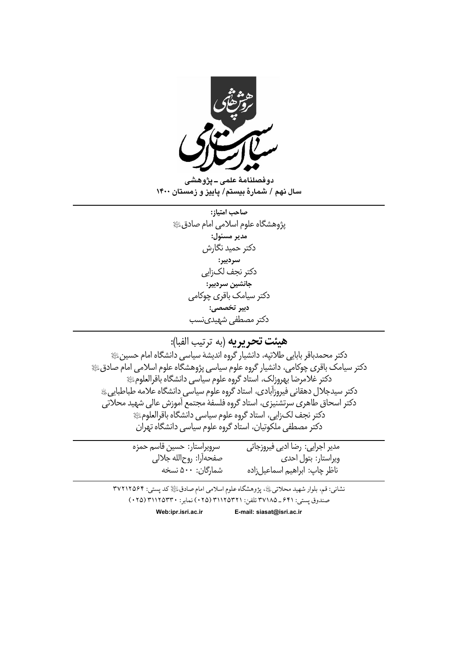

**دوفصلًاهۀ علمی ـ پژوهشی سال يهن / شمارۀ بیستن/ پاییس و زهستاو 0011**

**صبحب امتیبز:** پژوهشگاه علوم اسلامی امام صادق **مذیر مسئول:** دکتر حمید نگارش **سردبیر:** دکتر نجف لکزایی **جبنشین سردبیر:** دکتر سیامک باقری چوکامی **دبیر تخصصی:** دکتر مصطفی شهیدینسب

# **هیئت تسزیزیه** )به ترتیب الفبا(:

دکتر محمدباقر بابایی طلاتیه، دانشیار گروه اندیشهٔ سیاسی دانشگاه امام حسین ﷺ دکتر سیامک باقری چوکامی، دانشیار گروه علوم سیاسی پژوهشگاه علوم اسلامی امام صادق دکتر غلامرضا بهروزلک، استاد گروه علوم سیاسی دانشگاه باقرالعلومﷺ دکتر سیدجلال دهقانی فیروزآبادی، استاد گروه علوم سیاسی دانشگاه علامه طباطبایی ﷺ دکتر اسحاق طاهری سرتشنیزی، استاد گروه فلسفۀ مجتمع آموزش عالی شهید محلاتی دکتر نجف لک;ایی، استاد گروه علوم سیاسی دانشگاه باقرالعلومﷺ دکتر مصطفی ملکوتیان، استاد گروه علوم سیاسی دانشگاه تهران

| سرويراستار: حسين قاسم حمزه<br>مدیر اجرایی: رضا ادبی فیروزجائی<br>صفحهآرا: روح لله جلالي<br>ويراستار: بتول احدى<br>شمارگان: ۵۰۰ نسخه<br>ناظر چاپ: ابراهیم اسماعیلزاده |
|----------------------------------------------------------------------------------------------------------------------------------------------------------------------|
| نشانی: قم، بلوار شهید محلاتی ﷺ، پژوهشگاه علوم اسلامی امام صادق،لﷺ کد پستی: ۳۷۲۱۲۵۶۴<br>صندوق پستي: ۶۴۱_۳۷۱۸۵ تلفن: ۳۷۱۲۵۳۲۱ (۰۲۵) نماير: ۳۱۱۲۵۳۳۰ (۰۲۵)              |
| E mail: ciccot@iori.co.ir<br>Wahine isei sa is                                                                                                                       |

**Web:ipr.isri.ac.ir E-mail: siasat@isri.ac.ir**